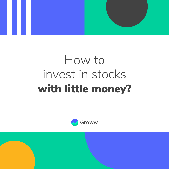

# How to invest in stocks with little money?

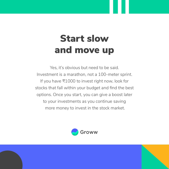# Start slow and move up

Yes, it's obvious but need to be said. Investment is a marathon, not a 100-meter sprint. If you have ₹1000 to invest right now, look for stocks that fall within your budget and find the best options. Once you start, you can give a boost later to your investments as you continue saving more money to invest in the stock market.

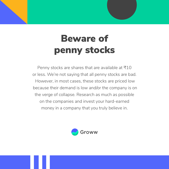# Beware of penny stocks

Penny stocks are shares that are available at  $\overline{7}10$ or less. We're not saying that all penny stocks are bad. However, in most cases, these stocks are priced low because their demand is low and/or the company is on the verge of collapse. Research as much as possible on the companies and invest your hard-earned money in a company that you truly believe in.

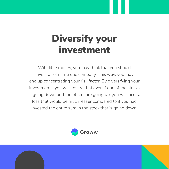# Diversify your investment

With little money, you may think that you should invest all of it into one company. This way, you may end up concentrating your risk factor. By diversifying your investments, you will ensure that even if one of the stocks is going down and the others are going up, you will incur a loss that would be much lesser compared to if you had invested the entire sum in the stock that is going down.



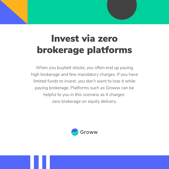## Invest via zero brokerage platforms

When you buy/sell stocks, you often end up paying high brokerage and few mandatory charges. If you have limited funds to invest, you don't want to lose it while paying brokerage. Platforms such as Groww can be helpful to you in this scenario as it charges zero brokerage on equity delivery.